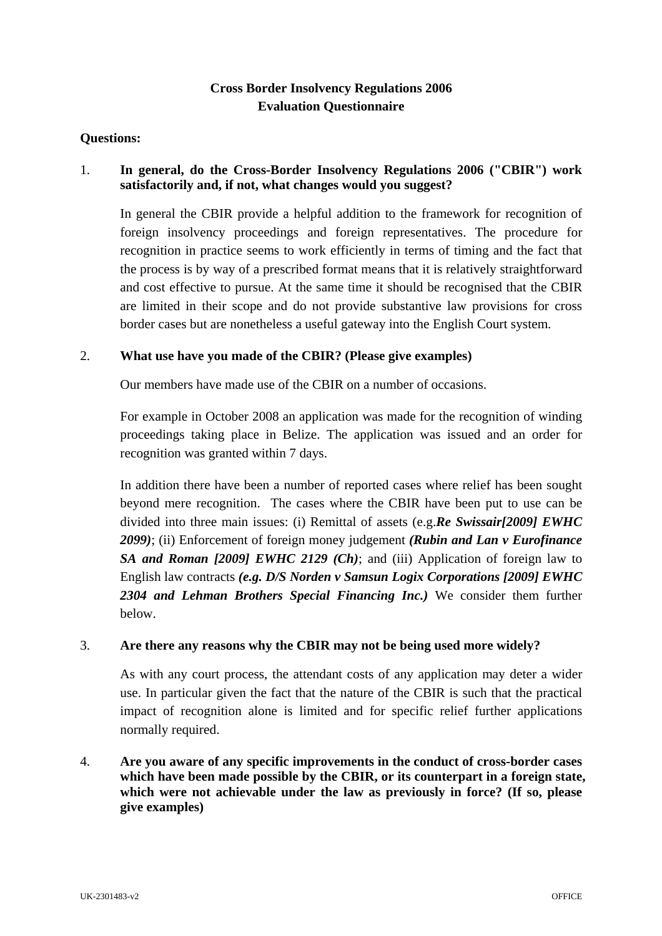# **Cross Border Insolvency Regulations 2006 Evaluation Questionnaire**

#### **Questions:**

## 1. **In general, do the Cross-Border Insolvency Regulations 2006 ("CBIR") work satisfactorily and, if not, what changes would you suggest?**

In general the CBIR provide a helpful addition to the framework for recognition of foreign insolvency proceedings and foreign representatives. The procedure for recognition in practice seems to work efficiently in terms of timing and the fact that the process is by way of a prescribed format means that it is relatively straightforward and cost effective to pursue. At the same time it should be recognised that the CBIR are limited in their scope and do not provide substantive law provisions for cross border cases but are nonetheless a useful gateway into the English Court system.

#### 2. **What use have you made of the CBIR? (Please give examples)**

Our members have made use of the CBIR on a number of occasions.

For example in October 2008 an application was made for the recognition of winding proceedings taking place in Belize. The application was issued and an order for recognition was granted within 7 days.

In addition there have been a number of reported cases where relief has been sought beyond mere recognition. The cases where the CBIR have been put to use can be divided into three main issues: (i) Remittal of assets (e.g.*Re Swissair[2009] EWHC 2099)*; (ii) Enforcement of foreign money judgement *(Rubin and Lan v Eurofinance SA and Roman [2009] EWHC 2129 (Ch)*; and (iii) Application of foreign law to English law contracts *(e.g. D/S Norden v Samsun Logix Corporations [2009] EWHC 2304 and Lehman Brothers Special Financing Inc.)* We consider them further below.

## 3. **Are there any reasons why the CBIR may not be being used more widely?**

As with any court process, the attendant costs of any application may deter a wider use. In particular given the fact that the nature of the CBIR is such that the practical impact of recognition alone is limited and for specific relief further applications normally required.

4. **Are you aware of any specific improvements in the conduct of cross-border cases which have been made possible by the CBIR, or its counterpart in a foreign state, which were not achievable under the law as previously in force? (If so, please give examples)**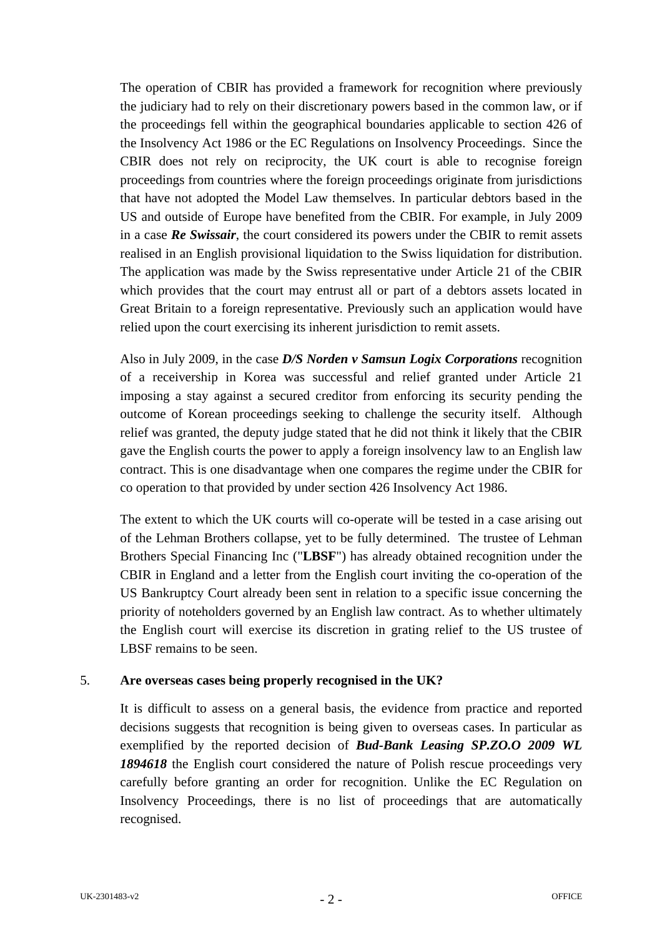The operation of CBIR has provided a framework for recognition where previously the judiciary had to rely on their discretionary powers based in the common law, or if the proceedings fell within the geographical boundaries applicable to section 426 of the Insolvency Act 1986 or the EC Regulations on Insolvency Proceedings. Since the CBIR does not rely on reciprocity, the UK court is able to recognise foreign proceedings from countries where the foreign proceedings originate from jurisdictions that have not adopted the Model Law themselves. In particular debtors based in the US and outside of Europe have benefited from the CBIR. For example, in July 2009 in a case *Re Swissair*, the court considered its powers under the CBIR to remit assets realised in an English provisional liquidation to the Swiss liquidation for distribution. The application was made by the Swiss representative under Article 21 of the CBIR which provides that the court may entrust all or part of a debtors assets located in Great Britain to a foreign representative. Previously such an application would have relied upon the court exercising its inherent jurisdiction to remit assets.

Also in July 2009, in the case *D/S Norden v Samsun Logix Corporations* recognition of a receivership in Korea was successful and relief granted under Article 21 imposing a stay against a secured creditor from enforcing its security pending the outcome of Korean proceedings seeking to challenge the security itself. Although relief was granted, the deputy judge stated that he did not think it likely that the CBIR gave the English courts the power to apply a foreign insolvency law to an English law contract. This is one disadvantage when one compares the regime under the CBIR for co operation to that provided by under section 426 Insolvency Act 1986.

The extent to which the UK courts will co-operate will be tested in a case arising out of the Lehman Brothers collapse, yet to be fully determined. The trustee of Lehman Brothers Special Financing Inc ("**LBSF**") has already obtained recognition under the CBIR in England and a letter from the English court inviting the co-operation of the US Bankruptcy Court already been sent in relation to a specific issue concerning the priority of noteholders governed by an English law contract. As to whether ultimately the English court will exercise its discretion in grating relief to the US trustee of LBSF remains to be seen.

#### 5. **Are overseas cases being properly recognised in the UK?**

It is difficult to assess on a general basis, the evidence from practice and reported decisions suggests that recognition is being given to overseas cases. In particular as exemplified by the reported decision of *Bud-Bank Leasing SP.ZO.O 2009 WL 1894618* the English court considered the nature of Polish rescue proceedings very carefully before granting an order for recognition. Unlike the EC Regulation on Insolvency Proceedings, there is no list of proceedings that are automatically recognised.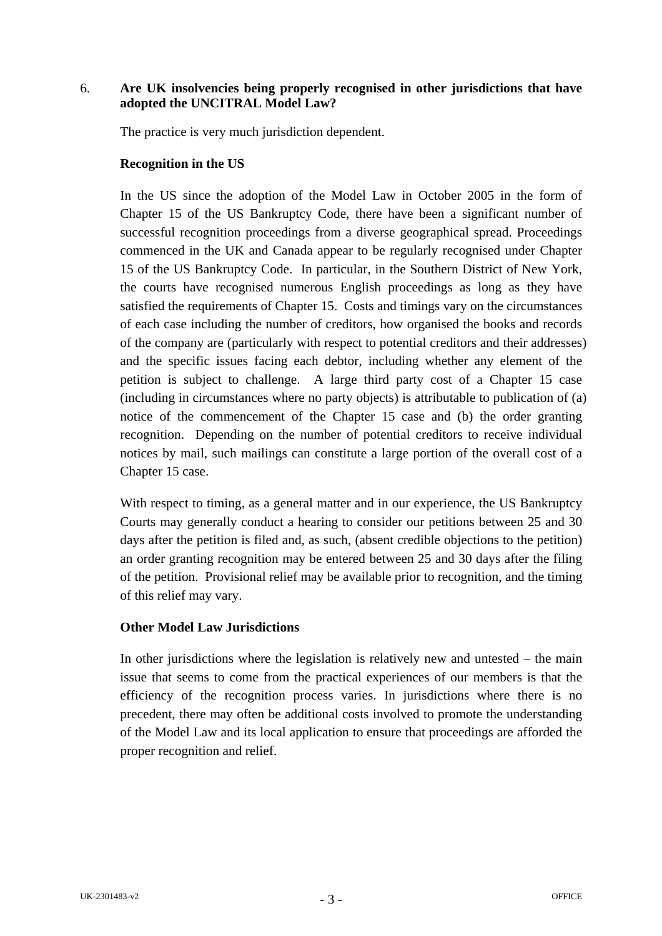## 6. **Are UK insolvencies being properly recognised in other jurisdictions that have adopted the UNCITRAL Model Law?**

The practice is very much jurisdiction dependent.

#### **Recognition in the US**

In the US since the adoption of the Model Law in October 2005 in the form of Chapter 15 of the US Bankruptcy Code, there have been a significant number of successful recognition proceedings from a diverse geographical spread. Proceedings commenced in the UK and Canada appear to be regularly recognised under Chapter 15 of the US Bankruptcy Code. In particular, in the Southern District of New York, the courts have recognised numerous English proceedings as long as they have satisfied the requirements of Chapter 15. Costs and timings vary on the circumstances of each case including the number of creditors, how organised the books and records of the company are (particularly with respect to potential creditors and their addresses) and the specific issues facing each debtor, including whether any element of the petition is subject to challenge. A large third party cost of a Chapter 15 case (including in circumstances where no party objects) is attributable to publication of (a) notice of the commencement of the Chapter 15 case and (b) the order granting recognition. Depending on the number of potential creditors to receive individual notices by mail, such mailings can constitute a large portion of the overall cost of a Chapter 15 case.

With respect to timing, as a general matter and in our experience, the US Bankruptcy Courts may generally conduct a hearing to consider our petitions between 25 and 30 days after the petition is filed and, as such, (absent credible objections to the petition) an order granting recognition may be entered between 25 and 30 days after the filing of the petition. Provisional relief may be available prior to recognition, and the timing of this relief may vary.

## **Other Model Law Jurisdictions**

In other jurisdictions where the legislation is relatively new and untested – the main issue that seems to come from the practical experiences of our members is that the efficiency of the recognition process varies. In jurisdictions where there is no precedent, there may often be additional costs involved to promote the understanding of the Model Law and its local application to ensure that proceedings are afforded the proper recognition and relief.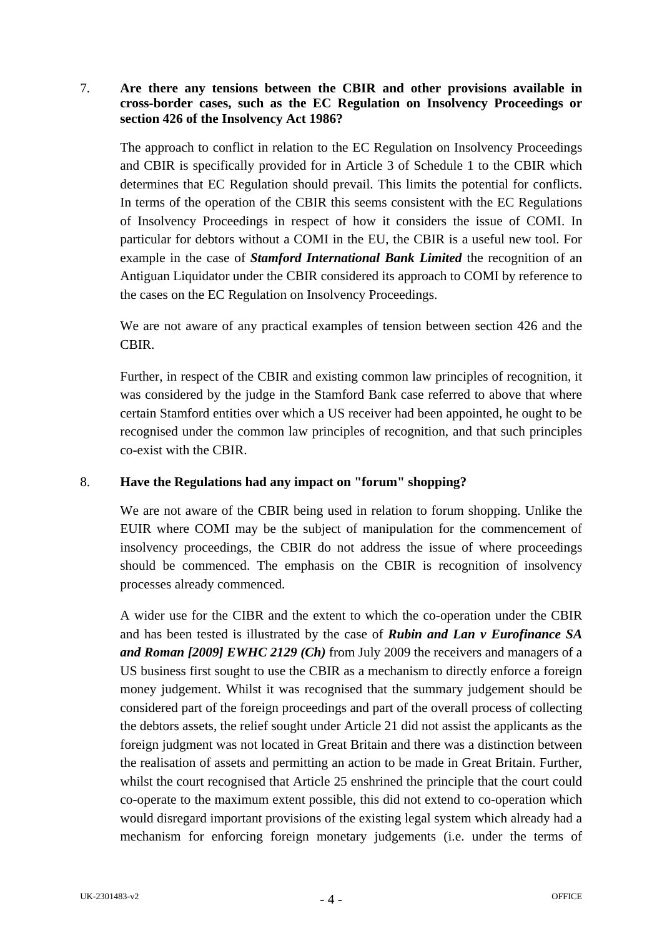## 7. **Are there any tensions between the CBIR and other provisions available in cross-border cases, such as the EC Regulation on Insolvency Proceedings or section 426 of the Insolvency Act 1986?**

The approach to conflict in relation to the EC Regulation on Insolvency Proceedings and CBIR is specifically provided for in Article 3 of Schedule 1 to the CBIR which determines that EC Regulation should prevail. This limits the potential for conflicts. In terms of the operation of the CBIR this seems consistent with the EC Regulations of Insolvency Proceedings in respect of how it considers the issue of COMI. In particular for debtors without a COMI in the EU, the CBIR is a useful new tool. For example in the case of *Stamford International Bank Limited* the recognition of an Antiguan Liquidator under the CBIR considered its approach to COMI by reference to the cases on the EC Regulation on Insolvency Proceedings.

We are not aware of any practical examples of tension between section 426 and the CBIR.

Further, in respect of the CBIR and existing common law principles of recognition, it was considered by the judge in the Stamford Bank case referred to above that where certain Stamford entities over which a US receiver had been appointed, he ought to be recognised under the common law principles of recognition, and that such principles co-exist with the CBIR.

## 8. **Have the Regulations had any impact on "forum" shopping?**

We are not aware of the CBIR being used in relation to forum shopping. Unlike the EUIR where COMI may be the subject of manipulation for the commencement of insolvency proceedings, the CBIR do not address the issue of where proceedings should be commenced. The emphasis on the CBIR is recognition of insolvency processes already commenced.

A wider use for the CIBR and the extent to which the co-operation under the CBIR and has been tested is illustrated by the case of *Rubin and Lan v Eurofinance SA and Roman [2009] EWHC 2129 (Ch)* from July 2009 the receivers and managers of a US business first sought to use the CBIR as a mechanism to directly enforce a foreign money judgement. Whilst it was recognised that the summary judgement should be considered part of the foreign proceedings and part of the overall process of collecting the debtors assets, the relief sought under Article 21 did not assist the applicants as the foreign judgment was not located in Great Britain and there was a distinction between the realisation of assets and permitting an action to be made in Great Britain. Further, whilst the court recognised that Article 25 enshrined the principle that the court could co-operate to the maximum extent possible, this did not extend to co-operation which would disregard important provisions of the existing legal system which already had a mechanism for enforcing foreign monetary judgements (i.e. under the terms of